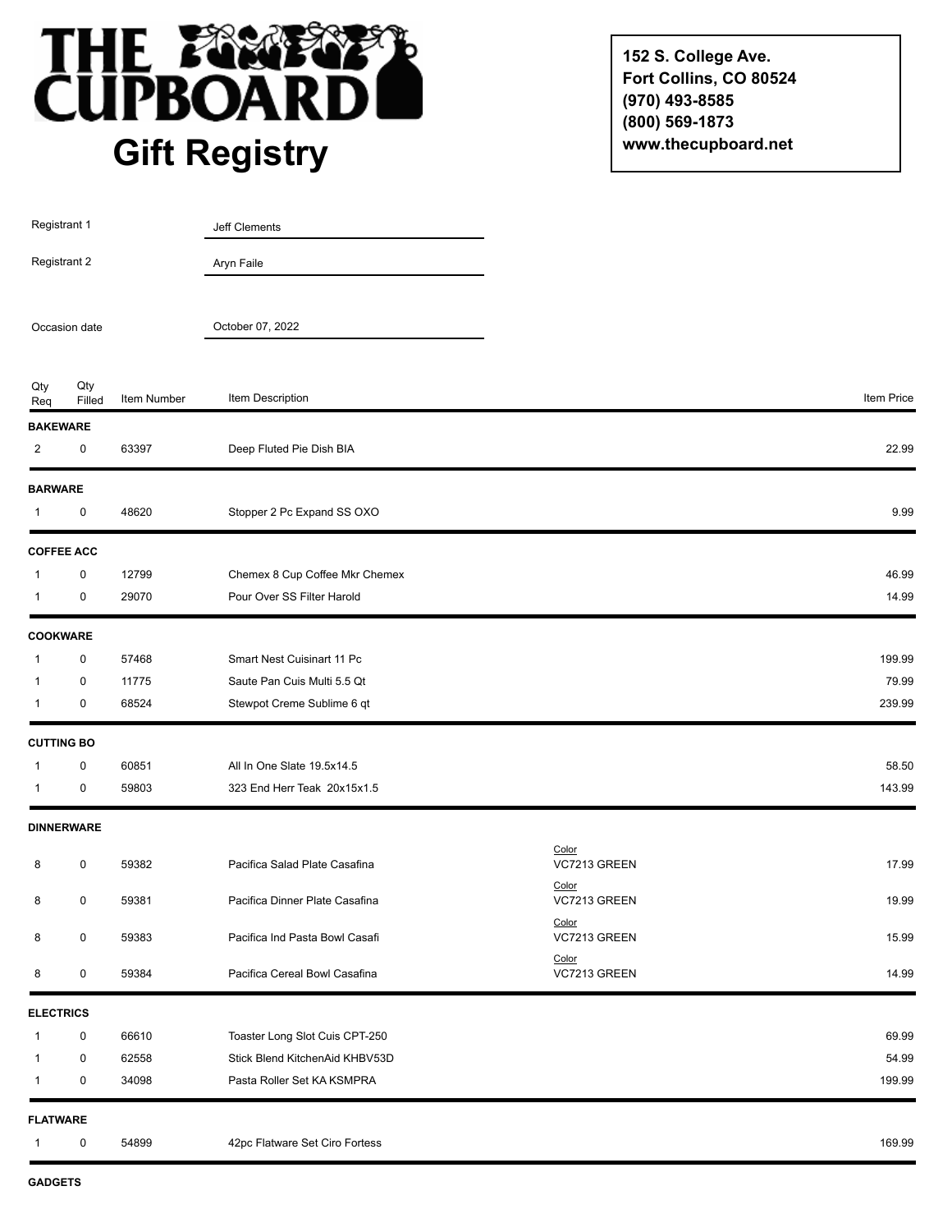

**152 S. College Ave. Fort Collins, CO 80524 (970) 493-8585 (800) 569-1873 www.thecupboard.net**

| Registrant 1                      |                   |             | Jeff Clements                  |                                |            |
|-----------------------------------|-------------------|-------------|--------------------------------|--------------------------------|------------|
| Registrant 2                      |                   |             | Aryn Faile                     |                                |            |
| Occasion date                     |                   |             | October 07, 2022               |                                |            |
| Qty<br>Req                        | Qty<br>Filled     | Item Number | Item Description               |                                | Item Price |
| <b>BAKEWARE</b><br>$\overline{2}$ | 0                 | 63397       | Deep Fluted Pie Dish BIA       |                                | 22.99      |
| <b>BARWARE</b>                    |                   |             |                                |                                |            |
| $\mathbf{1}$                      | 0                 | 48620       | Stopper 2 Pc Expand SS OXO     |                                | 9.99       |
|                                   | <b>COFFEE ACC</b> |             |                                |                                |            |
| $\mathbf{1}$                      | $\pmb{0}$         | 12799       | Chemex 8 Cup Coffee Mkr Chemex |                                | 46.99      |
| $\overline{1}$                    | 0                 | 29070       | Pour Over SS Filter Harold     |                                | 14.99      |
| <b>COOKWARE</b>                   |                   |             |                                |                                |            |
| 1                                 | 0                 | 57468       | Smart Nest Cuisinart 11 Pc     |                                | 199.99     |
| $\overline{1}$                    | 0                 | 11775       | Saute Pan Cuis Multi 5.5 Qt    |                                | 79.99      |
| $\mathbf 1$                       | 0                 | 68524       | Stewpot Creme Sublime 6 qt     |                                | 239.99     |
| <b>CUTTING BO</b>                 |                   |             |                                |                                |            |
| $\mathbf 1$                       | 0                 | 60851       | All In One Slate 19.5x14.5     |                                | 58.50      |
| $\mathbf{1}$                      | 0                 | 59803       | 323 End Herr Teak 20x15x1.5    |                                | 143.99     |
|                                   | <b>DINNERWARE</b> |             |                                |                                |            |
| 8                                 | 0                 | 59382       | Pacifica Salad Plate Casafina  | Color<br>VC7213 GREEN          | 17.99      |
| 8                                 | 0                 | 59381       | Pacifica Dinner Plate Casafina | Color<br>VC7213 GREEN          | 19.99      |
| 8                                 | $\pmb{0}$         | 59383       | Pacifica Ind Pasta Bowl Casafi | Color<br>VC7213 GREEN<br>Color | 15.99      |
| 8                                 | 0                 | 59384       | Pacifica Cereal Bowl Casafina  | VC7213 GREEN                   | 14.99      |
| <b>ELECTRICS</b>                  |                   |             |                                |                                |            |
| $\mathbf{1}$                      | 0                 | 66610       | Toaster Long Slot Cuis CPT-250 |                                | 69.99      |
| 1                                 | 0                 | 62558       | Stick Blend KitchenAid KHBV53D |                                | 54.99      |
| $\mathbf{1}$                      | 0                 | 34098       | Pasta Roller Set KA KSMPRA     |                                | 199.99     |
| <b>FLATWARE</b>                   |                   |             |                                |                                |            |
| 1                                 | 0                 | 54899       | 42pc Flatware Set Ciro Fortess |                                | 169.99     |